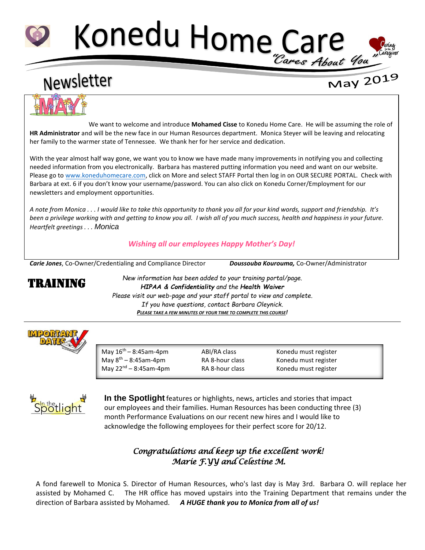# Konedu Home Care

# Newsletter





We want to welcome and introduce **Mohamed Cisse** to Konedu Home Care. He will be assuming the role of **HR Administrator** and will be the new face in our Human Resources department. Monica Steyer will be leaving and relocating her family to the warmer state of Tennessee. We thank her for her service and dedication.

With the year almost half way gone, we want you to know we have made many improvements in notifying you and collecting needed information from you electronically. Barbara has mastered putting information you need and want on our website. Please go to [www.koneduhomecare.com,](http://www.koneduhomecare.com/) click on More and select STAFF Portal then log in on OUR SECURE PORTAL. Check with Barbara at ext. 6 if you don't know your username/password. You can also click on Konedu Corner/Employment for our newsletters and employment opportunities.

*A note from Monica . . . I would like to take this opportunity to thank you all for your kind words, support and friendship. It's been a privilege working with and getting to know you all. I wish all of you much success, health and happiness in your future. Heartfelt greetings . . . Monica*

### *Wishing all our employees Happy Mother's Day!*

*Carie Jones*, Co-Owner/Credentialing and Compliance Director *Doussouba Kourouma,* Co-Owner/Administrator



TRAINING *New information has been added to your training portal/page. HIPAA & Confidentiality and the Health Waiver Please visit our web-page and your staff portal to view and complete. If you have questions, contact Barbara Oleynick. PLEASE TAKE A FEW MINUTES OF YOUR TIME TO COMPLETE THIS COURSE!*



May  $16<sup>th</sup> - 8:45$ am-4pm ABI/RA class Konedu must register May  $8<sup>th</sup> - 8:45$ am-4pm RA 8-hour class Konedu must register May 22<sup>nd</sup> – 8:45am-4pm **RA 8-hour class** Konedu must register



**In the Spotlight** features or highlights, news, articles and stories that impact our employees and their families. Human Resources has been conducting three (3) month Performance Evaluations on our recent new hires and I would like to acknowledge the following employees for their perfect score for 20/12.

## *Congratulations and keep up the excellent work! Marie F.YY and Celestine M.*

A fond farewell to Monica S. Director of Human Resources, who's last day is May 3rd. Barbara O. will replace her assisted by Mohamed C. The HR office has moved upstairs into the Training Department that remains under the direction of Barbara assisted by Mohamed. *A HUGE thank you to Monica from all of us!*